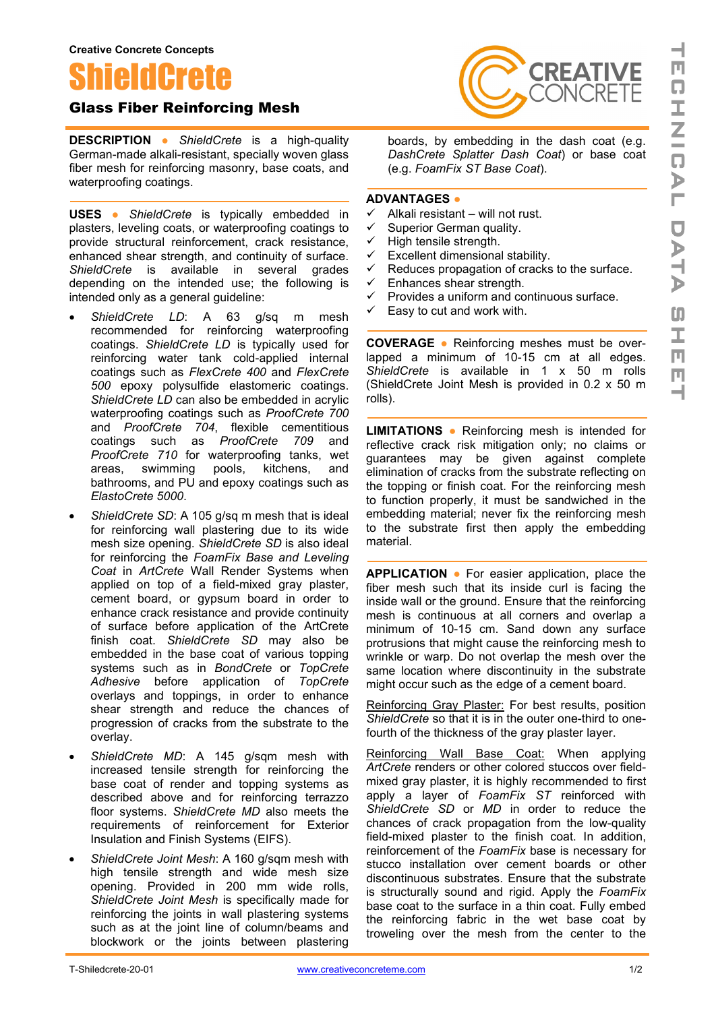**Creative Concrete Concepts**

# ShieldCrete

## Glass Fiber Reinforcing Mesh

**DESCRIPTION ●** *ShieldCrete* is a high-quality German-made alkali-resistant, specially woven glass fiber mesh for reinforcing masonry, base coats, and waterproofing coatings.

**USES ●** *ShieldCrete* is typically embedded in plasters, leveling coats, or waterproofing coatings to provide structural reinforcement, crack resistance, enhanced shear strength, and continuity of surface. *ShieldCrete* is available in several grades depending on the intended use; the following is intended only as a general guideline:

- *ShieldCrete LD*: A 63 g/sq m mesh recommended for reinforcing waterproofing coatings. *ShieldCrete LD* is typically used for reinforcing water tank cold-applied internal coatings such as *FlexCrete 400* and *FlexCrete 500* epoxy polysulfide elastomeric coatings. *ShieldCrete LD* can also be embedded in acrylic waterproofing coatings such as *ProofCrete 700* and *ProofCrete 704*, flexible cementitious coatings such as *ProofCrete 709* and *ProofCrete 710* for waterproofing tanks, wet areas, swimming pools, kitchens, and bathrooms, and PU and epoxy coatings such as *ElastoCrete 5000*.
- ShieldCrete SD: A 105 g/sq m mesh that is ideal for reinforcing wall plastering due to its wide mesh size opening. *ShieldCrete SD* is also ideal for reinforcing the *FoamFix Base and Leveling Coat* in *ArtCrete* Wall Render Systems when applied on top of a field-mixed gray plaster, cement board, or gypsum board in order to enhance crack resistance and provide continuity of surface before application of the ArtCrete finish coat. *ShieldCrete SD* may also be embedded in the base coat of various topping systems such as in *BondCrete* or *TopCrete Adhesive* before application of *TopCrete* overlays and toppings, in order to enhance shear strength and reduce the chances of progression of cracks from the substrate to the overlay.
- *ShieldCrete MD*: A 145 g/sqm mesh with increased tensile strength for reinforcing the base coat of render and topping systems as described above and for reinforcing terrazzo floor systems. *ShieldCrete MD* also meets the requirements of reinforcement for Exterior Insulation and Finish Systems (EIFS).
- *ShieldCrete Joint Mesh*: A 160 g/sqm mesh with high tensile strength and wide mesh size opening. Provided in 200 mm wide rolls, *ShieldCrete Joint Mesh* is specifically made for reinforcing the joints in wall plastering systems such as at the joint line of column/beams and blockwork or the joints between plastering



boards, by embedding in the dash coat (e.g. *DashCrete Splatter Dash Coat*) or base coat (e.g. *FoamFix ST Base Coat*).

### **ADVANTAGES ●**

- Alkali resistant will not rust.
- $\checkmark$  Superior German quality.
- $\checkmark$  High tensile strength.
- $\checkmark$  Excellent dimensional stability.
- Reduces propagation of cracks to the surface.
- $\checkmark$  Enhances shear strength.
- Provides a uniform and continuous surface.
- Easy to cut and work with.

**COVERAGE ●** Reinforcing meshes must be overlapped a minimum of 10-15 cm at all edges. *ShieldCrete* is available in 1 x 50 m rolls (ShieldCrete Joint Mesh is provided in 0.2 x 50 m rolls).

**LIMITATIONS ●** Reinforcing mesh is intended for reflective crack risk mitigation only; no claims or guarantees may be given against complete elimination of cracks from the substrate reflecting on the topping or finish coat. For the reinforcing mesh to function properly, it must be sandwiched in the embedding material; never fix the reinforcing mesh to the substrate first then apply the embedding material.

**APPLICATION ●** For easier application, place the fiber mesh such that its inside curl is facing the inside wall or the ground. Ensure that the reinforcing mesh is continuous at all corners and overlap a minimum of 10-15 cm. Sand down any surface protrusions that might cause the reinforcing mesh to wrinkle or warp. Do not overlap the mesh over the same location where discontinuity in the substrate might occur such as the edge of a cement board.

Reinforcing Gray Plaster: For best results, position *ShieldCrete* so that it is in the outer one-third to onefourth of the thickness of the gray plaster layer.

Reinforcing Wall Base Coat: When applying *ArtCrete* renders or other colored stuccos over fieldmixed gray plaster, it is highly recommended to first apply a layer of *FoamFix ST* reinforced with *ShieldCrete SD* or *MD* in order to reduce the chances of crack propagation from the low-quality field-mixed plaster to the finish coat. In addition, reinforcement of the *FoamFix* base is necessary for stucco installation over cement boards or other discontinuous substrates. Ensure that the substrate is structurally sound and rigid. Apply the *FoamFix*  base coat to the surface in a thin coat. Fully embed the reinforcing fabric in the wet base coat by troweling over the mesh from the center to the